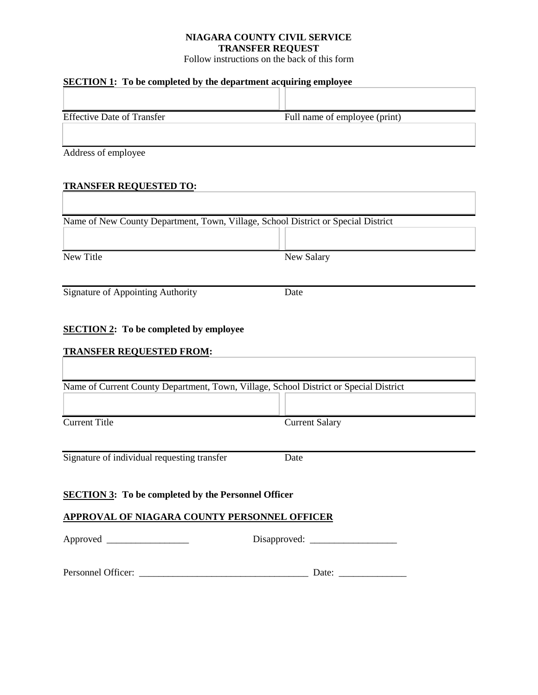## **NIAGARA COUNTY CIVIL SERVICE TRANSFER REQUEST**

Follow instructions on the back of this form

# **SECTION 1: To be completed by the department acquiring employee**

|                                   |  | . .                           |  |
|-----------------------------------|--|-------------------------------|--|
|                                   |  |                               |  |
| <b>Effective Date of Transfer</b> |  | Full name of employee (print) |  |
|                                   |  |                               |  |

 $\overline{\phantom{0}}$ 

Address of employee

# **TRANSFER REQUESTED TO:**

| Name of New County Department, Town, Village, School District or Special District     |                       |
|---------------------------------------------------------------------------------------|-----------------------|
|                                                                                       |                       |
| <b>New Title</b>                                                                      | <b>New Salary</b>     |
| <b>Signature of Appointing Authority</b>                                              | Date                  |
| <b>SECTION 2:</b> To be completed by employee                                         |                       |
| <b>TRANSFER REQUESTED FROM:</b>                                                       |                       |
| Name of Current County Department, Town, Village, School District or Special District |                       |
|                                                                                       |                       |
| <b>Current Title</b>                                                                  | <b>Current Salary</b> |
| Signature of individual requesting transfer                                           | Date                  |
| <b>SECTION 3:</b> To be completed by the Personnel Officer                            |                       |
| APPROVAL OF NIAGARA COUNTY PERSONNEL OFFICER                                          |                       |
|                                                                                       |                       |
| Personnel Officer:                                                                    | Date:                 |